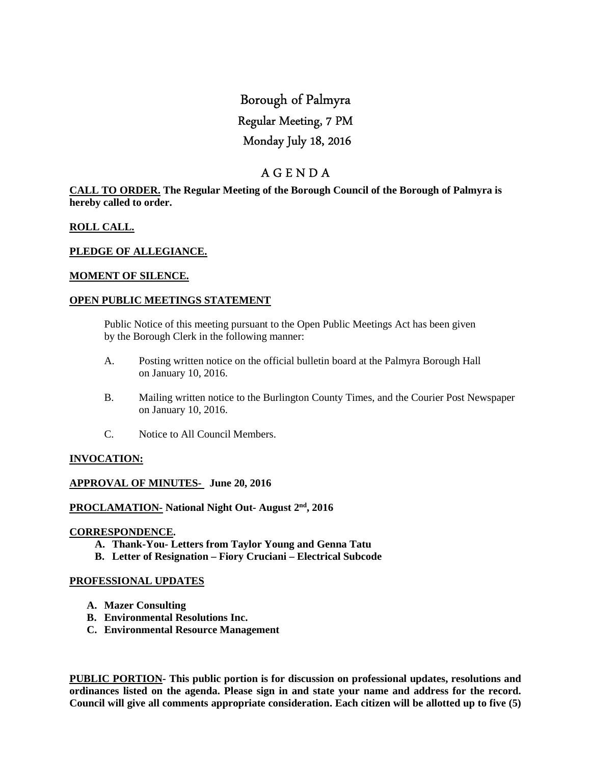# Borough of Palmyra Regular Meeting, 7 PM Monday July 18, 2016

# A G E N D A

**CALL TO ORDER. The Regular Meeting of the Borough Council of the Borough of Palmyra is hereby called to order.** 

# **ROLL CALL.**

#### **PLEDGE OF ALLEGIANCE.**

#### **MOMENT OF SILENCE.**

#### **OPEN PUBLIC MEETINGS STATEMENT**

 Public Notice of this meeting pursuant to the Open Public Meetings Act has been given by the Borough Clerk in the following manner:

- A. Posting written notice on the official bulletin board at the Palmyra Borough Hall on January 10, 2016.
- B. Mailing written notice to the Burlington County Times, and the Courier Post Newspaper on January 10, 2016.
- C. Notice to All Council Members.

# **INVOCATION:**

#### **APPROVAL OF MINUTES- June 20, 2016**

**PROCLAMATION- National Night Out- August 2nd, 2016** 

#### **CORRESPONDENCE.**

- **A. Thank-You- Letters from Taylor Young and Genna Tatu**
- **B. Letter of Resignation Fiory Cruciani Electrical Subcode**

#### **PROFESSIONAL UPDATES**

- **A. Mazer Consulting**
- **B. Environmental Resolutions Inc.**
- **C. Environmental Resource Management**

**PUBLIC PORTION- This public portion is for discussion on professional updates, resolutions and ordinances listed on the agenda. Please sign in and state your name and address for the record. Council will give all comments appropriate consideration. Each citizen will be allotted up to five (5)**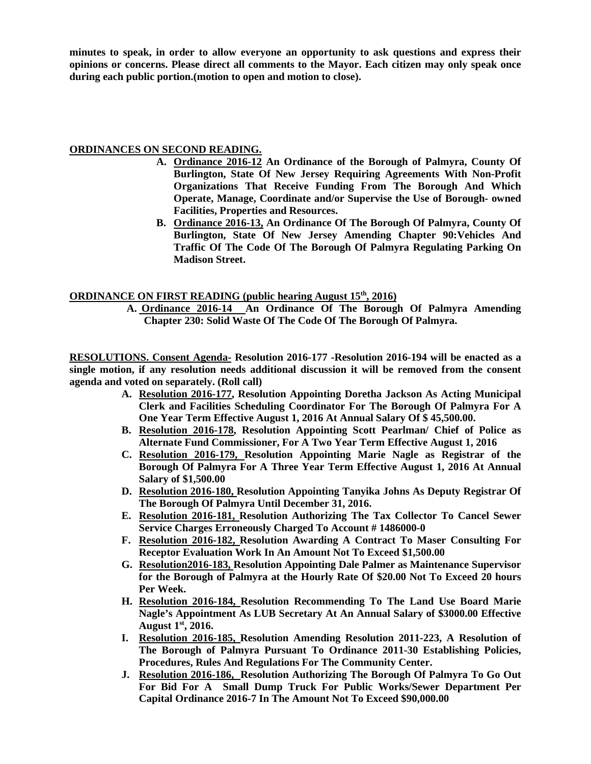**minutes to speak, in order to allow everyone an opportunity to ask questions and express their opinions or concerns. Please direct all comments to the Mayor. Each citizen may only speak once during each public portion.(motion to open and motion to close).** 

# **ORDINANCES ON SECOND READING.**

- **A. Ordinance 2016-12 An Ordinance of the Borough of Palmyra, County Of Burlington, State Of New Jersey Requiring Agreements With Non-Profit Organizations That Receive Funding From The Borough And Which Operate, Manage, Coordinate and/or Supervise the Use of Borough- owned Facilities, Properties and Resources.**
- **B. Ordinance 2016-13, An Ordinance Of The Borough Of Palmyra, County Of Burlington, State Of New Jersey Amending Chapter 90:Vehicles And Traffic Of The Code Of The Borough Of Palmyra Regulating Parking On Madison Street.**

# **ORDINANCE ON FIRST READING (public hearing August 15<sup>th</sup>, 2016)**

**A. Ordinance 2016-14 An Ordinance Of The Borough Of Palmyra Amending Chapter 230: Solid Waste Of The Code Of The Borough Of Palmyra.** 

**RESOLUTIONS. Consent Agenda- Resolution 2016-177 -Resolution 2016-194 will be enacted as a single motion, if any resolution needs additional discussion it will be removed from the consent agenda and voted on separately. (Roll call)** 

- **A. Resolution 2016-177, Resolution Appointing Doretha Jackson As Acting Municipal Clerk and Facilities Scheduling Coordinator For The Borough Of Palmyra For A One Year Term Effective August 1, 2016 At Annual Salary Of \$ 45,500.00.**
- **B. Resolution 2016-178, Resolution Appointing Scott Pearlman/ Chief of Police as Alternate Fund Commissioner, For A Two Year Term Effective August 1, 2016**
- **C. Resolution 2016-179, Resolution Appointing Marie Nagle as Registrar of the Borough Of Palmyra For A Three Year Term Effective August 1, 2016 At Annual Salary of \$1,500.00**
- **D. Resolution 2016-180, Resolution Appointing Tanyika Johns As Deputy Registrar Of The Borough Of Palmyra Until December 31, 2016.**
- **E. Resolution 2016-181, Resolution Authorizing The Tax Collector To Cancel Sewer Service Charges Erroneously Charged To Account # 1486000-0**
- **F. Resolution 2016-182, Resolution Awarding A Contract To Maser Consulting For Receptor Evaluation Work In An Amount Not To Exceed \$1,500.00**
- **G. Resolution2016-183, Resolution Appointing Dale Palmer as Maintenance Supervisor for the Borough of Palmyra at the Hourly Rate Of \$20.00 Not To Exceed 20 hours Per Week.**
- **H. Resolution 2016-184, Resolution Recommending To The Land Use Board Marie Nagle's Appointment As LUB Secretary At An Annual Salary of \$3000.00 Effective August 1st, 2016.**
- **I. Resolution 2016-185, Resolution Amending Resolution 2011-223, A Resolution of The Borough of Palmyra Pursuant To Ordinance 2011-30 Establishing Policies, Procedures, Rules And Regulations For The Community Center.**
- **J. Resolution 2016-186, Resolution Authorizing The Borough Of Palmyra To Go Out For Bid For A Small Dump Truck For Public Works/Sewer Department Per Capital Ordinance 2016-7 In The Amount Not To Exceed \$90,000.00**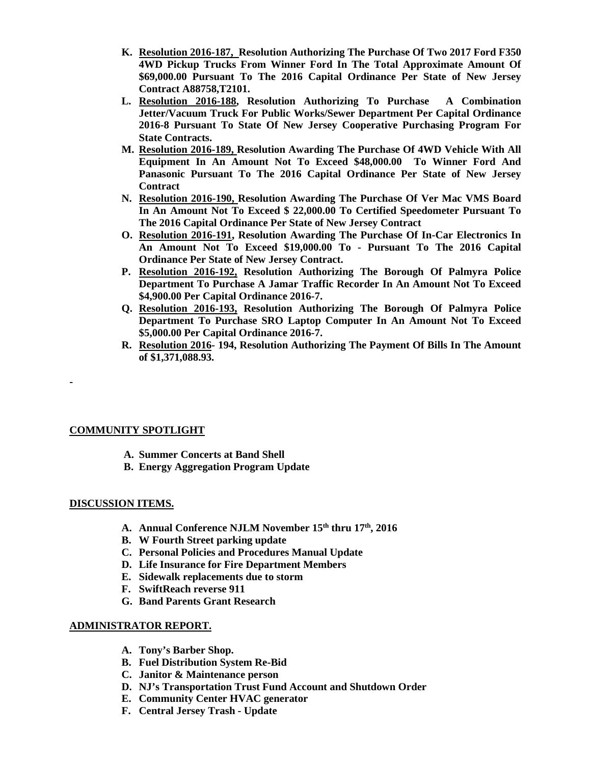- **K. Resolution 2016-187, Resolution Authorizing The Purchase Of Two 2017 Ford F350 4WD Pickup Trucks From Winner Ford In The Total Approximate Amount Of \$69,000.00 Pursuant To The 2016 Capital Ordinance Per State of New Jersey Contract A88758,T2101.**
- **L. Resolution 2016-188, Resolution Authorizing To Purchase A Combination Jetter/Vacuum Truck For Public Works/Sewer Department Per Capital Ordinance 2016-8 Pursuant To State Of New Jersey Cooperative Purchasing Program For State Contracts.**
- **M. Resolution 2016-189, Resolution Awarding The Purchase Of 4WD Vehicle With All Equipment In An Amount Not To Exceed \$48,000.00 To Winner Ford And Panasonic Pursuant To The 2016 Capital Ordinance Per State of New Jersey Contract**
- **N. Resolution 2016-190, Resolution Awarding The Purchase Of Ver Mac VMS Board In An Amount Not To Exceed \$ 22,000.00 To Certified Speedometer Pursuant To The 2016 Capital Ordinance Per State of New Jersey Contract**
- **O. Resolution 2016-191, Resolution Awarding The Purchase Of In-Car Electronics In An Amount Not To Exceed \$19,000.00 To - Pursuant To The 2016 Capital Ordinance Per State of New Jersey Contract.**
- **P. Resolution 2016-192, Resolution Authorizing The Borough Of Palmyra Police Department To Purchase A Jamar Traffic Recorder In An Amount Not To Exceed \$4,900.00 Per Capital Ordinance 2016-7.**
- **Q. Resolution 2016-193, Resolution Authorizing The Borough Of Palmyra Police Department To Purchase SRO Laptop Computer In An Amount Not To Exceed \$5,000.00 Per Capital Ordinance 2016-7.**
- **R. Resolution 2016- 194, Resolution Authorizing The Payment Of Bills In The Amount of \$1,371,088.93.**

# **COMMUNITY SPOTLIGHT**

- **A. Summer Concerts at Band Shell**
- **B. Energy Aggregation Program Update**

# **DISCUSSION ITEMS.**

**-** 

- **A. Annual Conference NJLM November 15th thru 17th, 2016**
- **B. W Fourth Street parking update**
- **C. Personal Policies and Procedures Manual Update**
- **D. Life Insurance for Fire Department Members**
- **E. Sidewalk replacements due to storm**
- **F. SwiftReach reverse 911**
- **G. Band Parents Grant Research**

# **ADMINISTRATOR REPORT.**

- **A. Tony's Barber Shop.**
- **B. Fuel Distribution System Re-Bid**
- **C. Janitor & Maintenance person**
- **D. NJ's Transportation Trust Fund Account and Shutdown Order**
- **E. Community Center HVAC generator**
- **F. Central Jersey Trash Update**